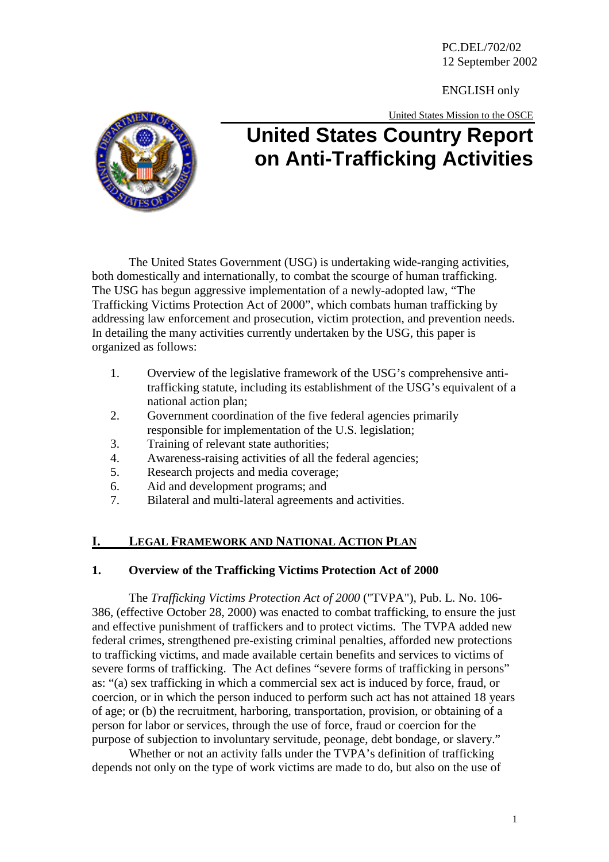PC.DEL/702/02 12 September 2002

ENGLISH only

United States Mission to the OSCE



# **United States Country Report on Anti-Trafficking Activities**

The United States Government (USG) is undertaking wide-ranging activities, both domestically and internationally, to combat the scourge of human trafficking. The USG has begun aggressive implementation of a newly-adopted law, "The Trafficking Victims Protection Act of 2000", which combats human trafficking by addressing law enforcement and prosecution, victim protection, and prevention needs. In detailing the many activities currently undertaken by the USG, this paper is organized as follows:

- 1. Overview of the legislative framework of the USG's comprehensive antitrafficking statute, including its establishment of the USG's equivalent of a national action plan;
- 2. Government coordination of the five federal agencies primarily responsible for implementation of the U.S. legislation;
- 3. Training of relevant state authorities;
- 4. Awareness-raising activities of all the federal agencies;
- 5. Research projects and media coverage;
- 6. Aid and development programs; and
- 7. Bilateral and multi-lateral agreements and activities.

# **I. LEGAL FRAMEWORK AND NATIONAL ACTION PLAN**

# **1. Overview of the Trafficking Victims Protection Act of 2000**

The *Trafficking Victims Protection Act of 2000* ("TVPA"), Pub. L. No. 106- 386, (effective October 28, 2000) was enacted to combat trafficking, to ensure the just and effective punishment of traffickers and to protect victims. The TVPA added new federal crimes, strengthened pre-existing criminal penalties, afforded new protections to trafficking victims, and made available certain benefits and services to victims of severe forms of trafficking. The Act defines "severe forms of trafficking in persons" as: "(a) sex trafficking in which a commercial sex act is induced by force, fraud, or coercion, or in which the person induced to perform such act has not attained 18 years of age; or (b) the recruitment, harboring, transportation, provision, or obtaining of a person for labor or services, through the use of force, fraud or coercion for the purpose of subjection to involuntary servitude, peonage, debt bondage, or slavery."

Whether or not an activity falls under the TVPA's definition of trafficking depends not only on the type of work victims are made to do, but also on the use of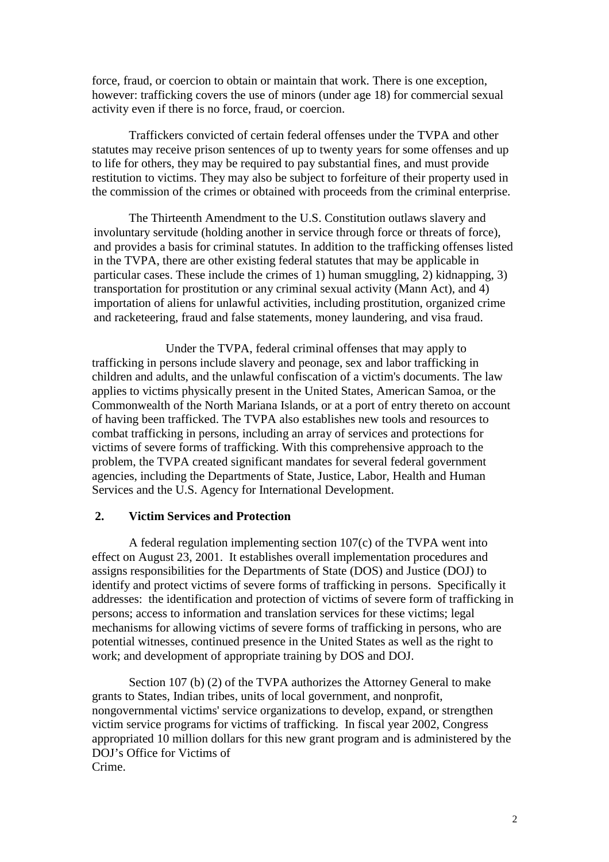force, fraud, or coercion to obtain or maintain that work. There is one exception, however: trafficking covers the use of minors (under age 18) for commercial sexual activity even if there is no force, fraud, or coercion.

Traffickers convicted of certain federal offenses under the TVPA and other statutes may receive prison sentences of up to twenty years for some offenses and up to life for others, they may be required to pay substantial fines, and must provide restitution to victims. They may also be subject to forfeiture of their property used in the commission of the crimes or obtained with proceeds from the criminal enterprise.

The Thirteenth Amendment to the U.S. Constitution outlaws slavery and involuntary servitude (holding another in service through force or threats of force), and provides a basis for criminal statutes. In addition to the trafficking offenses listed in the TVPA, there are other existing federal statutes that may be applicable in particular cases. These include the crimes of 1) human smuggling, 2) kidnapping, 3) transportation for prostitution or any criminal sexual activity (Mann Act), and 4) importation of aliens for unlawful activities, including prostitution, organized crime and racketeering, fraud and false statements, money laundering, and visa fraud.

Under the TVPA, federal criminal offenses that may apply to trafficking in persons include slavery and peonage, sex and labor trafficking in children and adults, and the unlawful confiscation of a victim's documents. The law applies to victims physically present in the United States, American Samoa, or the Commonwealth of the North Mariana Islands, or at a port of entry thereto on account of having been trafficked. The TVPA also establishes new tools and resources to combat trafficking in persons, including an array of services and protections for victims of severe forms of trafficking. With this comprehensive approach to the problem, the TVPA created significant mandates for several federal government agencies, including the Departments of State, Justice, Labor, Health and Human Services and the U.S. Agency for International Development.

#### **2. Victim Services and Protection**

A federal regulation implementing section 107(c) of the TVPA went into effect on August 23, 2001. It establishes overall implementation procedures and assigns responsibilities for the Departments of State (DOS) and Justice (DOJ) to identify and protect victims of severe forms of trafficking in persons. Specifically it addresses: the identification and protection of victims of severe form of trafficking in persons; access to information and translation services for these victims; legal mechanisms for allowing victims of severe forms of trafficking in persons, who are potential witnesses, continued presence in the United States as well as the right to work; and development of appropriate training by DOS and DOJ.

Section 107 (b) (2) of the TVPA authorizes the Attorney General to make grants to States, Indian tribes, units of local government, and nonprofit, nongovernmental victims' service organizations to develop, expand, or strengthen victim service programs for victims of trafficking. In fiscal year 2002, Congress appropriated 10 million dollars for this new grant program and is administered by the DOJ's Office for Victims of Crime.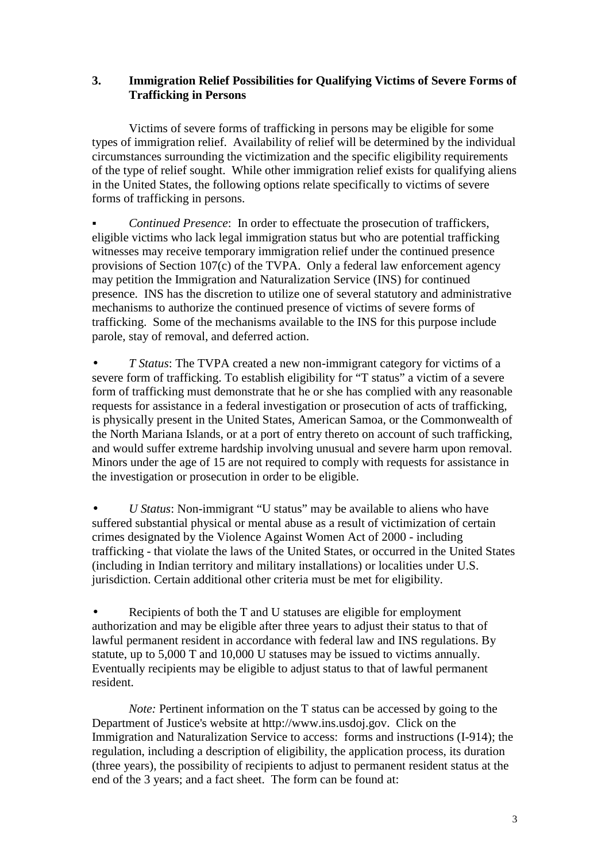## **3. Immigration Relief Possibilities for Qualifying Victims of Severe Forms of Trafficking in Persons**

Victims of severe forms of trafficking in persons may be eligible for some types of immigration relief. Availability of relief will be determined by the individual circumstances surrounding the victimization and the specific eligibility requirements of the type of relief sought. While other immigration relief exists for qualifying aliens in the United States, the following options relate specifically to victims of severe forms of trafficking in persons.

! *Continued Presence*: In order to effectuate the prosecution of traffickers, eligible victims who lack legal immigration status but who are potential trafficking witnesses may receive temporary immigration relief under the continued presence provisions of Section 107(c) of the TVPA. Only a federal law enforcement agency may petition the Immigration and Naturalization Service (INS) for continued presence. INS has the discretion to utilize one of several statutory and administrative mechanisms to authorize the continued presence of victims of severe forms of trafficking. Some of the mechanisms available to the INS for this purpose include parole, stay of removal, and deferred action.

• *T Status*: The TVPA created a new non-immigrant category for victims of a severe form of trafficking. To establish eligibility for "T status" a victim of a severe form of trafficking must demonstrate that he or she has complied with any reasonable requests for assistance in a federal investigation or prosecution of acts of trafficking, is physically present in the United States, American Samoa, or the Commonwealth of the North Mariana Islands, or at a port of entry thereto on account of such trafficking, and would suffer extreme hardship involving unusual and severe harm upon removal. Minors under the age of 15 are not required to comply with requests for assistance in the investigation or prosecution in order to be eligible.

• *U Status*: Non-immigrant "U status" may be available to aliens who have suffered substantial physical or mental abuse as a result of victimization of certain crimes designated by the Violence Against Women Act of 2000 - including trafficking - that violate the laws of the United States, or occurred in the United States (including in Indian territory and military installations) or localities under U.S. jurisdiction. Certain additional other criteria must be met for eligibility.

• Recipients of both the T and U statuses are eligible for employment authorization and may be eligible after three years to adjust their status to that of lawful permanent resident in accordance with federal law and INS regulations. By statute, up to 5,000 T and 10,000 U statuses may be issued to victims annually. Eventually recipients may be eligible to adjust status to that of lawful permanent resident.

*Note:* Pertinent information on the T status can be accessed by going to the Department of Justice's website at http://www.ins.usdoj.gov. Click on the Immigration and Naturalization Service to access: forms and instructions (I-914); the regulation, including a description of eligibility, the application process, its duration (three years), the possibility of recipients to adjust to permanent resident status at the end of the 3 years; and a fact sheet. The form can be found at: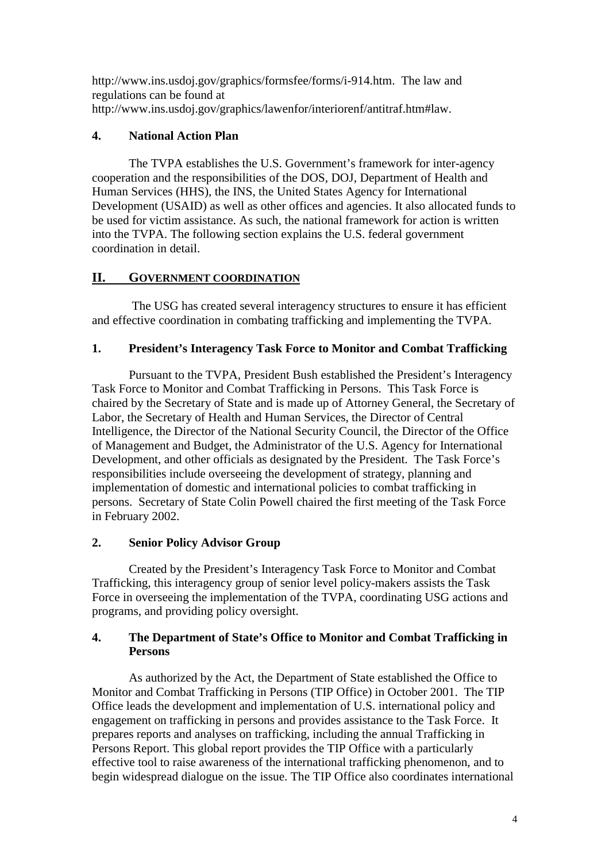http://www.ins.usdoj.gov/graphics/formsfee/forms/i-914.htm. The law and regulations can be found at http://www.ins.usdoj.gov/graphics/lawenfor/interiorenf/antitraf.htm#law.

# **4. National Action Plan**

The TVPA establishes the U.S. Government's framework for inter-agency cooperation and the responsibilities of the DOS, DOJ, Department of Health and Human Services (HHS), the INS, the United States Agency for International Development (USAID) as well as other offices and agencies. It also allocated funds to be used for victim assistance. As such, the national framework for action is written into the TVPA. The following section explains the U.S. federal government coordination in detail.

# **II. GOVERNMENT COORDINATION**

 The USG has created several interagency structures to ensure it has efficient and effective coordination in combating trafficking and implementing the TVPA.

# **1. President's Interagency Task Force to Monitor and Combat Trafficking**

Pursuant to the TVPA, President Bush established the President's Interagency Task Force to Monitor and Combat Trafficking in Persons. This Task Force is chaired by the Secretary of State and is made up of Attorney General, the Secretary of Labor, the Secretary of Health and Human Services, the Director of Central Intelligence, the Director of the National Security Council, the Director of the Office of Management and Budget, the Administrator of the U.S. Agency for International Development, and other officials as designated by the President. The Task Force's responsibilities include overseeing the development of strategy, planning and implementation of domestic and international policies to combat trafficking in persons. Secretary of State Colin Powell chaired the first meeting of the Task Force in February 2002.

# **2. Senior Policy Advisor Group**

Created by the President's Interagency Task Force to Monitor and Combat Trafficking, this interagency group of senior level policy-makers assists the Task Force in overseeing the implementation of the TVPA, coordinating USG actions and programs, and providing policy oversight.

# **4. The Department of State's Office to Monitor and Combat Trafficking in Persons**

As authorized by the Act, the Department of State established the Office to Monitor and Combat Trafficking in Persons (TIP Office) in October 2001. The TIP Office leads the development and implementation of U.S. international policy and engagement on trafficking in persons and provides assistance to the Task Force. It prepares reports and analyses on trafficking, including the annual Trafficking in Persons Report. This global report provides the TIP Office with a particularly effective tool to raise awareness of the international trafficking phenomenon, and to begin widespread dialogue on the issue. The TIP Office also coordinates international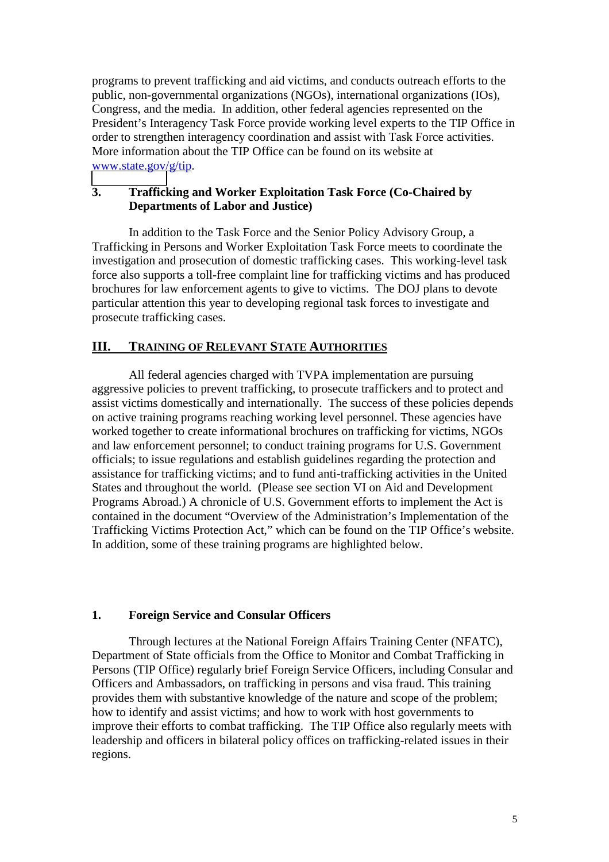programs to prevent trafficking and aid victims, and conducts outreach efforts to the public, non-governmental organizations (NGOs), international organizations (IOs), Congress, and the media. In addition, other federal agencies represented on the President's Interagency Task Force provide working level experts to the TIP Office in order to strengthen interagency coordination and assist with Task Force activities. More information about the TIP Office can be found on its website at [www.state.gov/](http://www.state.gov/)g/tip.

#### **3. Trafficking and Worker Exploitation Task Force (Co-Chaired by Departments of Labor and Justice)**

In addition to the Task Force and the Senior Policy Advisory Group, a Trafficking in Persons and Worker Exploitation Task Force meets to coordinate the investigation and prosecution of domestic trafficking cases. This working-level task force also supports a toll-free complaint line for trafficking victims and has produced brochures for law enforcement agents to give to victims. The DOJ plans to devote particular attention this year to developing regional task forces to investigate and prosecute trafficking cases.

# **III. TRAINING OF RELEVANT STATE AUTHORITIES**

All federal agencies charged with TVPA implementation are pursuing aggressive policies to prevent trafficking, to prosecute traffickers and to protect and assist victims domestically and internationally. The success of these policies depends on active training programs reaching working level personnel. These agencies have worked together to create informational brochures on trafficking for victims, NGOs and law enforcement personnel; to conduct training programs for U.S. Government officials; to issue regulations and establish guidelines regarding the protection and assistance for trafficking victims; and to fund anti-trafficking activities in the United States and throughout the world. (Please see section VI on Aid and Development Programs Abroad.) A chronicle of U.S. Government efforts to implement the Act is contained in the document "Overview of the Administration's Implementation of the Trafficking Victims Protection Act," which can be found on the TIP Office's website. In addition, some of these training programs are highlighted below.

#### **1. Foreign Service and Consular Officers**

Through lectures at the National Foreign Affairs Training Center (NFATC), Department of State officials from the Office to Monitor and Combat Trafficking in Persons (TIP Office) regularly brief Foreign Service Officers, including Consular and Officers and Ambassadors, on trafficking in persons and visa fraud. This training provides them with substantive knowledge of the nature and scope of the problem; how to identify and assist victims; and how to work with host governments to improve their efforts to combat trafficking. The TIP Office also regularly meets with leadership and officers in bilateral policy offices on trafficking-related issues in their regions.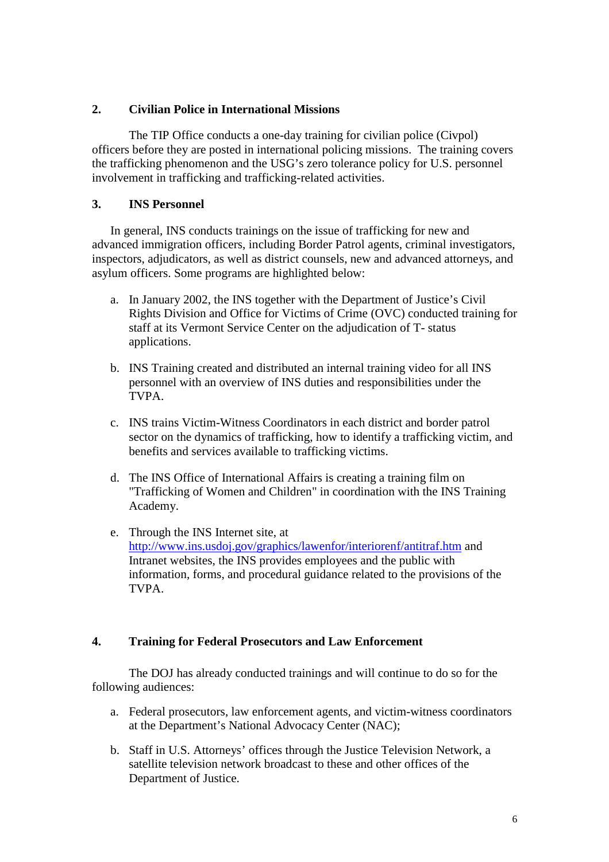## **2. Civilian Police in International Missions**

The TIP Office conducts a one-day training for civilian police (Civpol) officers before they are posted in international policing missions. The training covers the trafficking phenomenon and the USG's zero tolerance policy for U.S. personnel involvement in trafficking and trafficking-related activities.

# **3. INS Personnel**

In general, INS conducts trainings on the issue of trafficking for new and advanced immigration officers, including Border Patrol agents, criminal investigators, inspectors, adjudicators, as well as district counsels, new and advanced attorneys, and asylum officers. Some programs are highlighted below:

- a. In January 2002, the INS together with the Department of Justice's Civil Rights Division and Office for Victims of Crime (OVC) conducted training for staff at its Vermont Service Center on the adjudication of T- status applications.
- b. INS Training created and distributed an internal training video for all INS personnel with an overview of INS duties and responsibilities under the TVPA.
- c. INS trains Victim-Witness Coordinators in each district and border patrol sector on the dynamics of trafficking, how to identify a trafficking victim, and benefits and services available to trafficking victims.
- d. The INS Office of International Affairs is creating a training film on "Trafficking of Women and Children" in coordination with the INS Training Academy.
- e. Through the INS Internet site, at http://www.ins.usdoj.gov/graphics/lawenfor/interiorenf/antitraf.htm and Intranet websites, the INS provides employees and the public with information, forms, and procedural guidance related to the provisions of the TVPA.

#### **4. Training for Federal Prosecutors and Law Enforcement**

The DOJ has already conducted trainings and will continue to do so for the following audiences:

- a. Federal prosecutors, law enforcement agents, and victim-witness coordinators at the Department's National Advocacy Center (NAC);
- b. Staff in U.S. Attorneys' offices through the Justice Television Network, a satellite television network broadcast to these and other offices of the Department of Justice.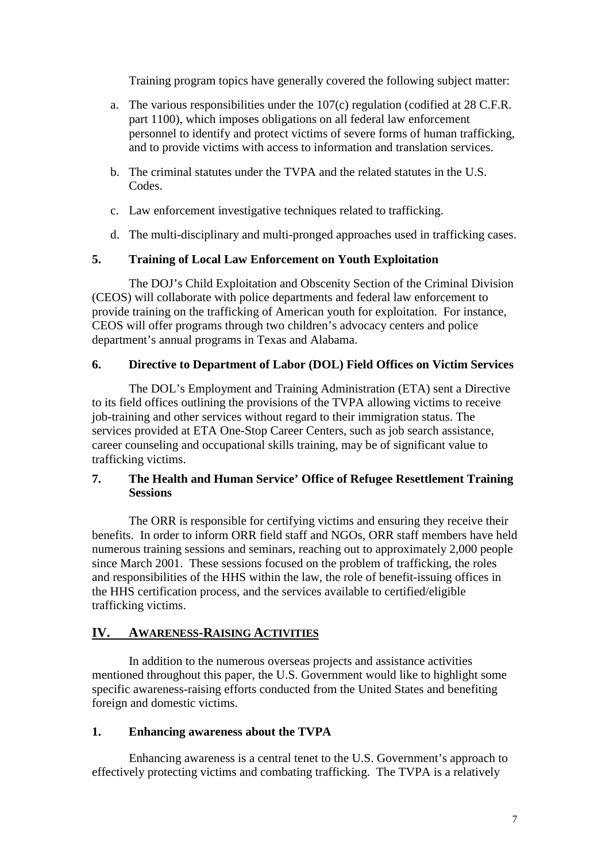Training program topics have generally covered the following subject matter:

- a. The various responsibilities under the 107(c) regulation (codified at 28 C.F.R. part 1100), which imposes obligations on all federal law enforcement personnel to identify and protect victims of severe forms of human trafficking, and to provide victims with access to information and translation services.
- b. The criminal statutes under the TVPA and the related statutes in the U.S. Codes.
- c. Law enforcement investigative techniques related to trafficking.
- d. The multi-disciplinary and multi-pronged approaches used in trafficking cases.

# **5. Training of Local Law Enforcement on Youth Exploitation**

The DOJ's Child Exploitation and Obscenity Section of the Criminal Division (CEOS) will collaborate with police departments and federal law enforcement to provide training on the trafficking of American youth for exploitation. For instance, CEOS will offer programs through two children's advocacy centers and police department's annual programs in Texas and Alabama.

## **6. Directive to Department of Labor (DOL) Field Offices on Victim Services**

The DOL's Employment and Training Administration (ETA) sent a Directive to its field offices outlining the provisions of the TVPA allowing victims to receive job-training and other services without regard to their immigration status. The services provided at ETA One-Stop Career Centers, such as job search assistance, career counseling and occupational skills training, may be of significant value to trafficking victims.

## **7. The Health and Human Service' Office of Refugee Resettlement Training Sessions**

The ORR is responsible for certifying victims and ensuring they receive their benefits. In order to inform ORR field staff and NGOs, ORR staff members have held numerous training sessions and seminars, reaching out to approximately 2,000 people since March 2001. These sessions focused on the problem of trafficking, the roles and responsibilities of the HHS within the law, the role of benefit-issuing offices in the HHS certification process, and the services available to certified/eligible trafficking victims.

# **IV. AWARENESS-RAISING ACTIVITIES**

In addition to the numerous overseas projects and assistance activities mentioned throughout this paper, the U.S. Government would like to highlight some specific awareness-raising efforts conducted from the United States and benefiting foreign and domestic victims.

#### **1. Enhancing awareness about the TVPA**

Enhancing awareness is a central tenet to the U.S. Government's approach to effectively protecting victims and combating trafficking. The TVPA is a relatively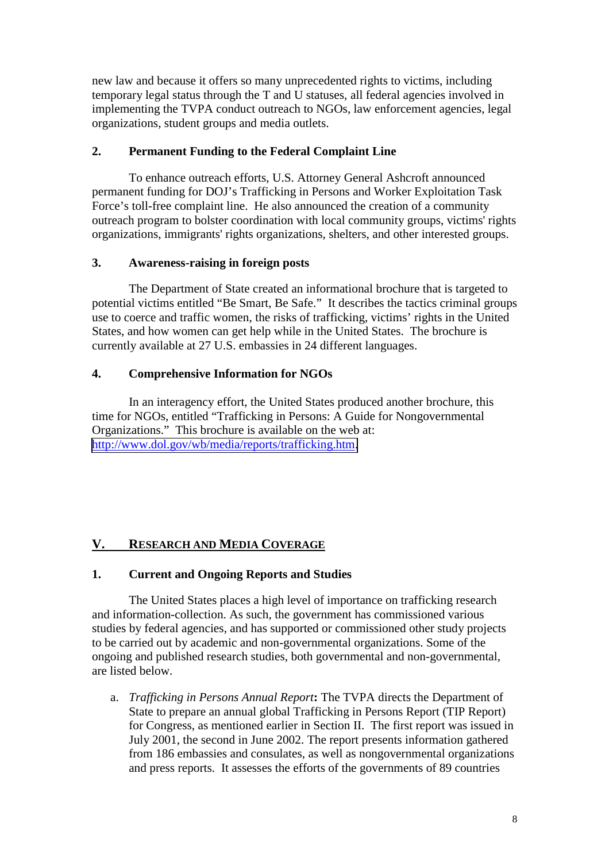new law and because it offers so many unprecedented rights to victims, including temporary legal status through the T and U statuses, all federal agencies involved in implementing the TVPA conduct outreach to NGOs, law enforcement agencies, legal organizations, student groups and media outlets.

# **2. Permanent Funding to the Federal Complaint Line**

To enhance outreach efforts, U.S. Attorney General Ashcroft announced permanent funding for DOJ's Trafficking in Persons and Worker Exploitation Task Force's toll-free complaint line. He also announced the creation of a community outreach program to bolster coordination with local community groups, victims' rights organizations, immigrants' rights organizations, shelters, and other interested groups.

# **3. Awareness-raising in foreign posts**

The Department of State created an informational brochure that is targeted to potential victims entitled "Be Smart, Be Safe." It describes the tactics criminal groups use to coerce and traffic women, the risks of trafficking, victims' rights in the United States, and how women can get help while in the United States. The brochure is currently available at 27 U.S. embassies in 24 different languages.

# **4. Comprehensive Information for NGOs**

In an interagency effort, the United States produced another brochure, this time for NGOs, entitled "Trafficking in Persons: A Guide for Nongovernmental Organizations." This brochure is available on the web at: [http://www.dol.gov/wb/media/reports/trafficking.htm.](http://www.dol.gov/wb/media/reports/trafficking.htm)

# **V. RESEARCH AND MEDIA COVERAGE**

# **1. Current and Ongoing Reports and Studies**

The United States places a high level of importance on trafficking research and information-collection. As such, the government has commissioned various studies by federal agencies, and has supported or commissioned other study projects to be carried out by academic and non-governmental organizations. Some of the ongoing and published research studies, both governmental and non-governmental, are listed below.

a. *Trafficking in Persons Annual Report***:** The TVPA directs the Department of State to prepare an annual global Trafficking in Persons Report (TIP Report) for Congress, as mentioned earlier in Section II. The first report was issued in July 2001, the second in June 2002. The report presents information gathered from 186 embassies and consulates, as well as nongovernmental organizations and press reports. It assesses the efforts of the governments of 89 countries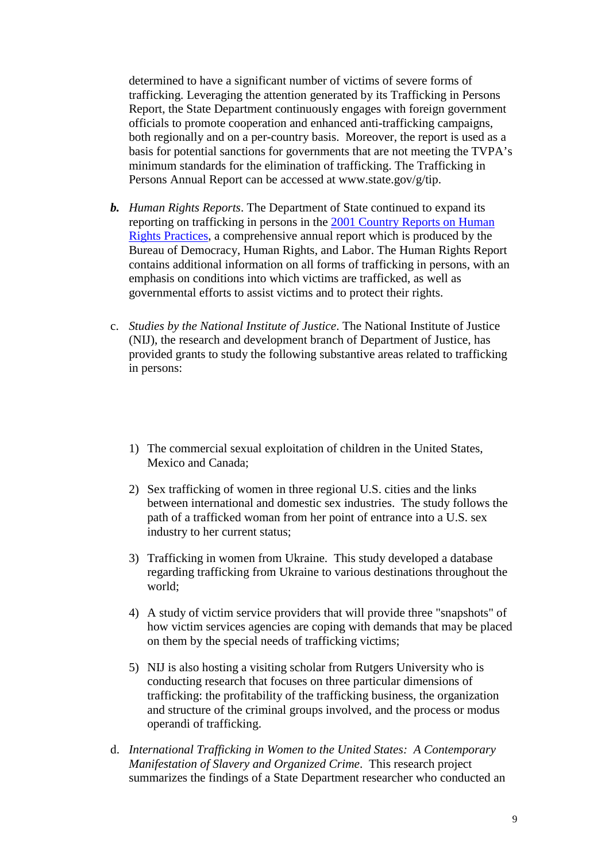determined to have a significant number of victims of severe forms of trafficking. Leveraging the attention generated by its Trafficking in Persons Report, the State Department continuously engages with foreign government officials to promote cooperation and enhanced anti-trafficking campaigns, both regionally and on a per-country basis. Moreover, the report is used as a basis for potential sanctions for governments that are not meeting the TVPA's minimum standards for the elimination of trafficking. The Trafficking in Persons Annual Report can be accessed at www.state.gov/g/tip.

- *b. Human Rights Reports*. The Department of State continued to expand its reporting on trafficking in persons in the 2001 Country Reports on Human Rights Practices, a comprehensive annual report which is produced by the Bureau of Democracy, Human Rights, and Labor. The Human Rights Report contains additional information on all forms of trafficking in persons, with an emphasis on conditions into which victims are trafficked, as well as governmental efforts to assist victims and to protect their rights.
- c. *Studies by the National Institute of Justice*. The National Institute of Justice (NIJ), the research and development branch of Department of Justice, has provided grants to study the following substantive areas related to trafficking in persons:
	- 1) The commercial sexual exploitation of children in the United States, Mexico and Canada;
	- 2) Sex trafficking of women in three regional U.S. cities and the links between international and domestic sex industries. The study follows the path of a trafficked woman from her point of entrance into a U.S. sex industry to her current status;
	- 3) Trafficking in women from Ukraine. This study developed a database regarding trafficking from Ukraine to various destinations throughout the world;
	- 4) A study of victim service providers that will provide three "snapshots" of how victim services agencies are coping with demands that may be placed on them by the special needs of trafficking victims;
	- 5) NIJ is also hosting a visiting scholar from Rutgers University who is conducting research that focuses on three particular dimensions of trafficking: the profitability of the trafficking business, the organization and structure of the criminal groups involved, and the process or modus operandi of trafficking.
- d. *International Trafficking in Women to the United States: A Contemporary Manifestation of Slavery and Organized Crime*. This research project summarizes the findings of a State Department researcher who conducted an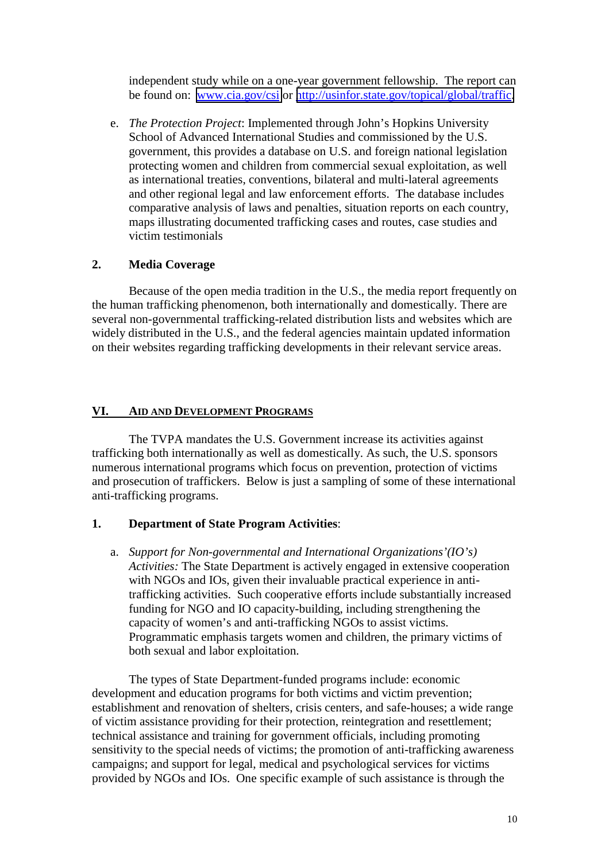independent study while on a one-year government fellowship. The report can be found on: [www.cia.gov/csi](http://www.cia.gov/csi) or [http://usinfor.state.gov/topical/global/traffic.](http://usinfor.state.gov/topical/global/traffic)

e. *The Protection Project*: Implemented through John's Hopkins University School of Advanced International Studies and commissioned by the U.S. government, this provides a database on U.S. and foreign national legislation protecting women and children from commercial sexual exploitation, as well as international treaties, conventions, bilateral and multi-lateral agreements and other regional legal and law enforcement efforts. The database includes comparative analysis of laws and penalties, situation reports on each country, maps illustrating documented trafficking cases and routes, case studies and victim testimonials

#### **2. Media Coverage**

Because of the open media tradition in the U.S., the media report frequently on the human trafficking phenomenon, both internationally and domestically. There are several non-governmental trafficking-related distribution lists and websites which are widely distributed in the U.S., and the federal agencies maintain updated information on their websites regarding trafficking developments in their relevant service areas.

# **VI. AID AND DEVELOPMENT PROGRAMS**

The TVPA mandates the U.S. Government increase its activities against trafficking both internationally as well as domestically. As such, the U.S. sponsors numerous international programs which focus on prevention, protection of victims and prosecution of traffickers. Below is just a sampling of some of these international anti-trafficking programs.

# **1. Department of State Program Activities**:

a. *Support for Non-governmental and International Organizations'(IO's) Activities:* The State Department is actively engaged in extensive cooperation with NGOs and IOs, given their invaluable practical experience in antitrafficking activities. Such cooperative efforts include substantially increased funding for NGO and IO capacity-building, including strengthening the capacity of women's and anti-trafficking NGOs to assist victims. Programmatic emphasis targets women and children, the primary victims of both sexual and labor exploitation.

The types of State Department-funded programs include: economic development and education programs for both victims and victim prevention; establishment and renovation of shelters, crisis centers, and safe-houses; a wide range of victim assistance providing for their protection, reintegration and resettlement; technical assistance and training for government officials, including promoting sensitivity to the special needs of victims; the promotion of anti-trafficking awareness campaigns; and support for legal, medical and psychological services for victims provided by NGOs and IOs. One specific example of such assistance is through the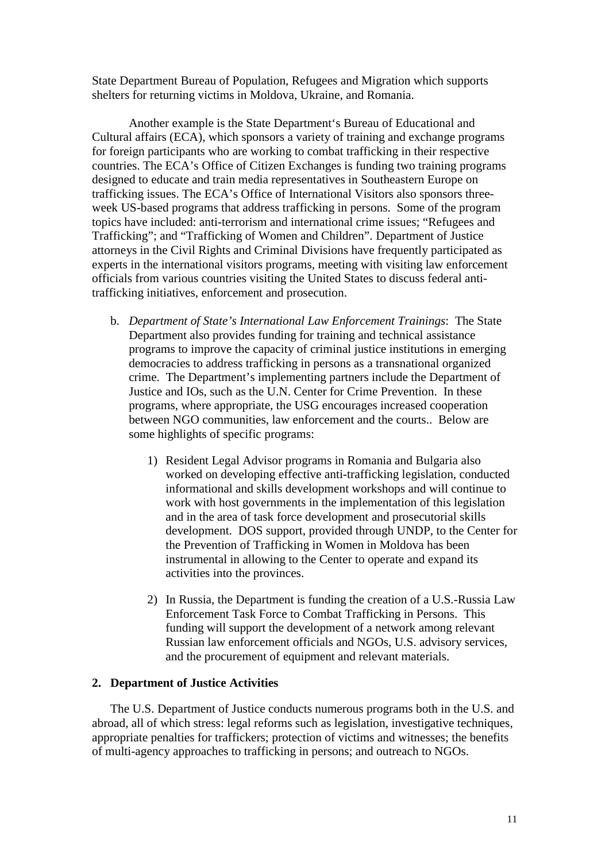State Department Bureau of Population, Refugees and Migration which supports shelters for returning victims in Moldova, Ukraine, and Romania.

Another example is the State Department's Bureau of Educational and Cultural affairs (ECA), which sponsors a variety of training and exchange programs for foreign participants who are working to combat trafficking in their respective countries. The ECA's Office of Citizen Exchanges is funding two training programs designed to educate and train media representatives in Southeastern Europe on trafficking issues. The ECA's Office of International Visitors also sponsors threeweek US-based programs that address trafficking in persons. Some of the program topics have included: anti-terrorism and international crime issues; "Refugees and Trafficking"; and "Trafficking of Women and Children". Department of Justice attorneys in the Civil Rights and Criminal Divisions have frequently participated as experts in the international visitors programs, meeting with visiting law enforcement officials from various countries visiting the United States to discuss federal antitrafficking initiatives, enforcement and prosecution.

- b. *Department of State's International Law Enforcement Trainings*: The State Department also provides funding for training and technical assistance programs to improve the capacity of criminal justice institutions in emerging democracies to address trafficking in persons as a transnational organized crime. The Department's implementing partners include the Department of Justice and IOs, such as the U.N. Center for Crime Prevention. In these programs, where appropriate, the USG encourages increased cooperation between NGO communities, law enforcement and the courts.. Below are some highlights of specific programs:
	- 1) Resident Legal Advisor programs in Romania and Bulgaria also worked on developing effective anti-trafficking legislation, conducted informational and skills development workshops and will continue to work with host governments in the implementation of this legislation and in the area of task force development and prosecutorial skills development. DOS support, provided through UNDP, to the Center for the Prevention of Trafficking in Women in Moldova has been instrumental in allowing to the Center to operate and expand its activities into the provinces.
	- 2) In Russia, the Department is funding the creation of a U.S.-Russia Law Enforcement Task Force to Combat Trafficking in Persons. This funding will support the development of a network among relevant Russian law enforcement officials and NGOs, U.S. advisory services, and the procurement of equipment and relevant materials.

#### **2. Department of Justice Activities**

The U.S. Department of Justice conducts numerous programs both in the U.S. and abroad, all of which stress: legal reforms such as legislation, investigative techniques, appropriate penalties for traffickers; protection of victims and witnesses; the benefits of multi-agency approaches to trafficking in persons; and outreach to NGOs.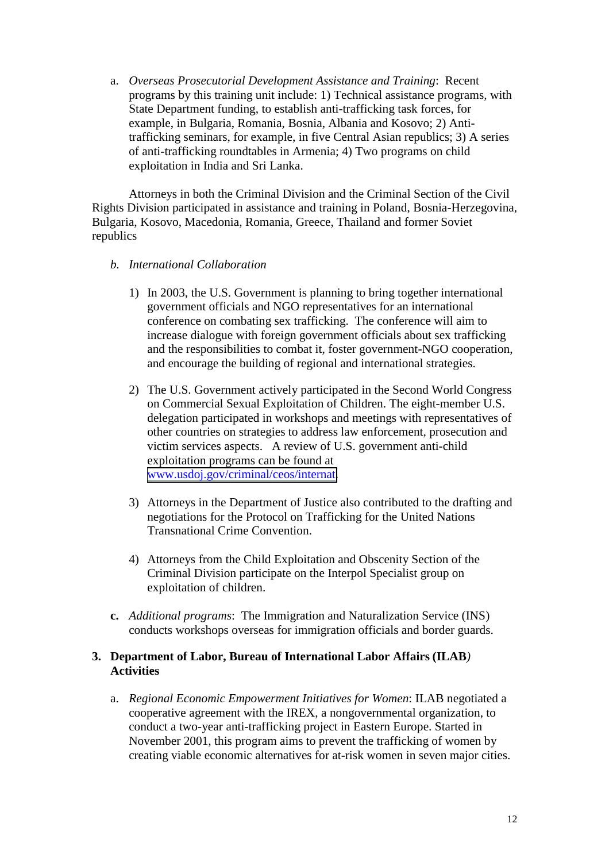a. *Overseas Prosecutorial Development Assistance and Training*: Recent programs by this training unit include: 1) Technical assistance programs, with State Department funding, to establish anti-trafficking task forces, for example, in Bulgaria, Romania, Bosnia, Albania and Kosovo; 2) Antitrafficking seminars, for example, in five Central Asian republics; 3) A series of anti-trafficking roundtables in Armenia; 4) Two programs on child exploitation in India and Sri Lanka.

Attorneys in both the Criminal Division and the Criminal Section of the Civil Rights Division participated in assistance and training in Poland, Bosnia-Herzegovina, Bulgaria, Kosovo, Macedonia, Romania, Greece, Thailand and former Soviet republics

#### *b. International Collaboration*

- 1) In 2003, the U.S. Government is planning to bring together international government officials and NGO representatives for an international conference on combating sex trafficking. The conference will aim to increase dialogue with foreign government officials about sex trafficking and the responsibilities to combat it, foster government-NGO cooperation, and encourage the building of regional and international strategies.
- 2) The U.S. Government actively participated in the Second World Congress on Commercial Sexual Exploitation of Children. The eight-member U.S. delegation participated in workshops and meetings with representatives of other countries on strategies to address law enforcement, prosecution and victim services aspects. A review of U.S. government anti-child exploitation programs can be found at [www.usdoj.gov/criminal/ceos/internat.](http://www.usdoj.gov/criminal/ceos/internat)
- 3) Attorneys in the Department of Justice also contributed to the drafting and negotiations for the Protocol on Trafficking for the United Nations Transnational Crime Convention.
- 4) Attorneys from the Child Exploitation and Obscenity Section of the Criminal Division participate on the Interpol Specialist group on exploitation of children.
- **c.** *Additional programs*:The Immigration and Naturalization Service (INS) conducts workshops overseas for immigration officials and border guards.

## **3. Department of Labor, Bureau of International Labor Affairs (ILAB***)* **Activities**

a. *Regional Economic Empowerment Initiatives for Women*: ILAB negotiated a cooperative agreement with the IREX, a nongovernmental organization, to conduct a two-year anti-trafficking project in Eastern Europe. Started in November 2001, this program aims to prevent the trafficking of women by creating viable economic alternatives for at-risk women in seven major cities.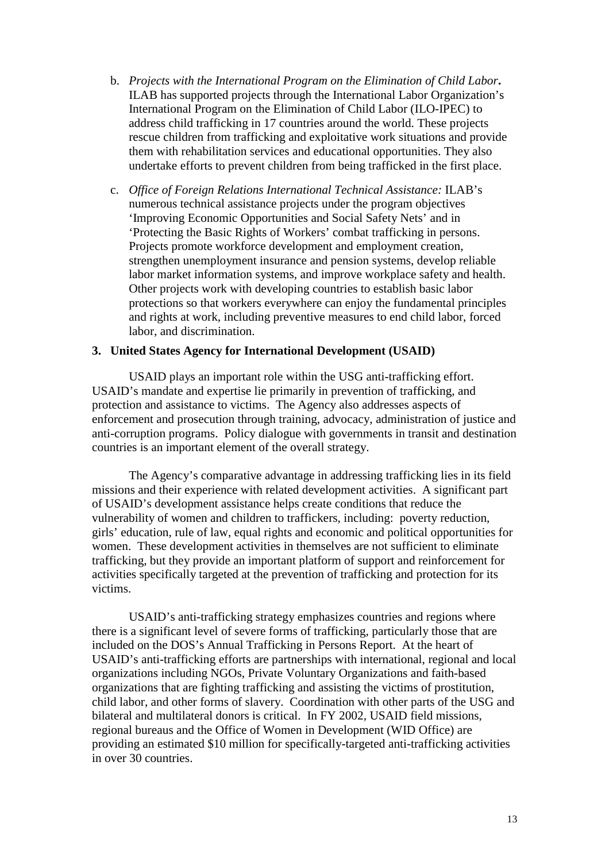- b. *Projects with the International Program on the Elimination of Child Labor***.** ILAB has supported projects through the International Labor Organization's International Program on the Elimination of Child Labor (ILO-IPEC) to address child trafficking in 17 countries around the world. These projects rescue children from trafficking and exploitative work situations and provide them with rehabilitation services and educational opportunities. They also undertake efforts to prevent children from being trafficked in the first place.
- c. *Office of Foreign Relations International Technical Assistance:* ILAB's numerous technical assistance projects under the program objectives 'Improving Economic Opportunities and Social Safety Nets' and in 'Protecting the Basic Rights of Workers' combat trafficking in persons. Projects promote workforce development and employment creation, strengthen unemployment insurance and pension systems, develop reliable labor market information systems, and improve workplace safety and health. Other projects work with developing countries to establish basic labor protections so that workers everywhere can enjoy the fundamental principles and rights at work, including preventive measures to end child labor, forced labor, and discrimination.

#### **3. United States Agency for International Development (USAID)**

USAID plays an important role within the USG anti-trafficking effort. USAID's mandate and expertise lie primarily in prevention of trafficking, and protection and assistance to victims. The Agency also addresses aspects of enforcement and prosecution through training, advocacy, administration of justice and anti-corruption programs. Policy dialogue with governments in transit and destination countries is an important element of the overall strategy.

The Agency's comparative advantage in addressing trafficking lies in its field missions and their experience with related development activities. A significant part of USAID's development assistance helps create conditions that reduce the vulnerability of women and children to traffickers, including: poverty reduction, girls' education, rule of law, equal rights and economic and political opportunities for women. These development activities in themselves are not sufficient to eliminate trafficking, but they provide an important platform of support and reinforcement for activities specifically targeted at the prevention of trafficking and protection for its victims.

USAID's anti-trafficking strategy emphasizes countries and regions where there is a significant level of severe forms of trafficking, particularly those that are included on the DOS's Annual Trafficking in Persons Report. At the heart of USAID's anti-trafficking efforts are partnerships with international, regional and local organizations including NGOs, Private Voluntary Organizations and faith-based organizations that are fighting trafficking and assisting the victims of prostitution, child labor, and other forms of slavery. Coordination with other parts of the USG and bilateral and multilateral donors is critical. In FY 2002, USAID field missions, regional bureaus and the Office of Women in Development (WID Office) are providing an estimated \$10 million for specifically-targeted anti-trafficking activities in over 30 countries.